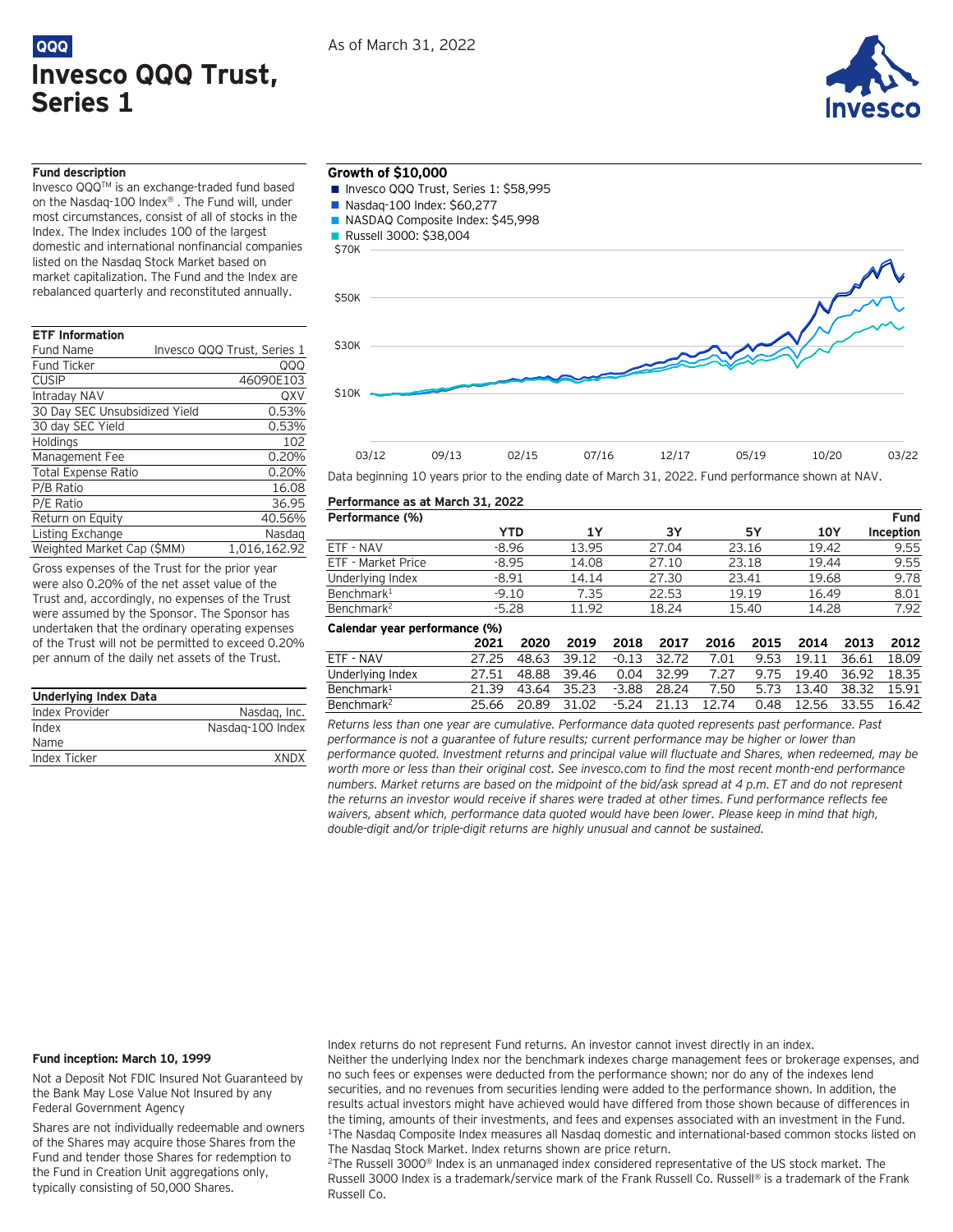



**Fund Inception**

## **Fund description**

Invesco QQQTM is an exchange-traded fund based on the Nasdaq-100 Index® . The Fund will, under most circumstances, consist of all of stocks in the Index. The Index includes 100 of the largest domestic and international nonfinancial companies listed on the Nasdaq Stock Market based on market capitalization. The Fund and the Index are rebalanced quarterly and reconstituted annually.

# **ETF Information**

| <b>Fund Name</b>              | Invesco QQQ Trust, Series 1 |
|-------------------------------|-----------------------------|
| <b>Fund Ticker</b>            | QQQ                         |
| <b>CUSIP</b>                  | 46090E103                   |
| Intraday NAV                  | QXV                         |
| 30 Day SEC Unsubsidized Yield | 0.53%                       |
| 30 day SEC Yield              | 0.53%                       |
| Holdings                      | 102                         |
| Management Fee                | 0.20%                       |
| <b>Total Expense Ratio</b>    | 0.20%                       |
| P/B Ratio                     | 16.08                       |
| P/E Ratio                     | 36.95                       |
| Return on Equity              | 40.56%                      |
| Listing Exchange              | Nasdag                      |

Gross expenses of the Trust for the prior year were also 0.20% of the net asset value of the Trust and, accordingly, no expenses of the Trust were assumed by the Sponsor. The Sponsor has undertaken that the ordinary operating expenses of the Trust will not be permitted to exceed 0.20% per annum of the daily net assets of the Trust.

Weighted Market Cap (\$MM) 1,016,162.92

| <b>Underlying Index Data</b> |                  |
|------------------------------|------------------|
| Index Provider               | Nasdag, Inc.     |
| Index                        | Nasdag-100 Index |
| Name                         |                  |
| Index Ticker                 | <b>XNDX</b>      |

## **Growth of \$10,000**

- Invesco QQQ Trust, Series 1: \$58,995
- Nasdaq-100 Index: \$60,277
- NASDAQ Composite Index: \$45,998
- **Russell 3000: \$38,004**



Data beginning 10 years prior to the ending date of March 31, 2022. Fund performance shown at NAV.

## **Performance as at March 31, 2022 Performance (%) YTD 1Y 3Y 5Y 10Y** ETF - NAV -8.96 13.95 27.04 23.16 19.42 9.55 ETF - Market Price -8.95 14.08 27.10 23.18 19.44 9.55 Underlying Index  $-8.91$  14.14 27.30 23.41 19.68 9.78

| Benchmark <sup>1</sup>        | $-9.10$ |       | 7.35      |         | 22.53 |       | 19.19 | 16.49 |       | 8.01  |
|-------------------------------|---------|-------|-----------|---------|-------|-------|-------|-------|-------|-------|
| Benchmark <sup>2</sup>        | $-5.28$ |       | 11.92     |         | 18.24 |       | 15.40 | 14.28 |       | 7.92  |
| Calendar year performance (%) |         |       |           |         |       |       |       |       |       |       |
|                               | 2021    | 2020  | 2019      | 2018    | 2017  | 2016  | 2015  | 2014  | 2013  | 2012  |
| ETF - NAV                     | 27.25   | 48.63 | 39.12     | $-0.13$ | 32.72 | 7.01  | 9.53  | 19.11 | 36.61 | 18.09 |
| Underlying Index              | 27.51   | 48.88 | 39.46     | 0.04    | 32.99 | 7.27  | 9.75  | 19.40 | 36.92 | 18.35 |
| Benchmark <sup>1</sup>        | 21.39   | 43.64 | 35.23     | $-3.88$ | 28.24 | 7.50  | 5.73  | 13.40 | 38.32 | 15.91 |
| Benchmark <sup>2</sup>        | 25.66   | 20.89 | .02<br>31 | $-5.24$ | 21 13 | 12.74 | 0.48  | 12 56 | 33.55 | 16.42 |

*Returns less than one year are cumulative. Performance data quoted represents past performance. Past performance is not a guarantee of future results; current performance may be higher or lower than performance quoted. Investment returns and principal value will fluctuate and Shares, when redeemed, may be worth more or less than their original cost. See invesco.com to find the most recent month-end performance numbers. Market returns are based on the midpoint of the bid/ask spread at 4 p.m. ET and do not represent the returns an investor would receive if shares were traded at other times. Fund performance reflects fee waivers, absent which, performance data quoted would have been lower. Please keep in mind that high, double-digit and/or triple-digit returns are highly unusual and cannot be sustained.*

### **Fund inception: March 10, 1999**

Not a Deposit Not FDIC Insured Not Guaranteed by the Bank May Lose Value Not Insured by any Federal Government Agency

Shares are not individually redeemable and owners of the Shares may acquire those Shares from the Fund and tender those Shares for redemption to the Fund in Creation Unit aggregations only, typically consisting of 50,000 Shares.

Index returns do not represent Fund returns. An investor cannot invest directly in an index.

Neither the underlying Index nor the benchmark indexes charge management fees or brokerage expenses, and no such fees or expenses were deducted from the performance shown; nor do any of the indexes lend securities, and no revenues from securities lending were added to the performance shown. In addition, the results actual investors might have achieved would have differed from those shown because of differences in the timing, amounts of their investments, and fees and expenses associated with an investment in the Fund. <sup>1</sup>The Nasdaq Composite Index measures all Nasdaq domestic and international-based common stocks listed on The Nasdaq Stock Market. Index returns shown are price return.

<sup>2</sup>The Russell 3000<sup>®</sup> Index is an unmanaged index considered representative of the US stock market. The Russell 3000 Index is a trademark/service mark of the Frank Russell Co. Russell® is a trademark of the Frank Russell Co.